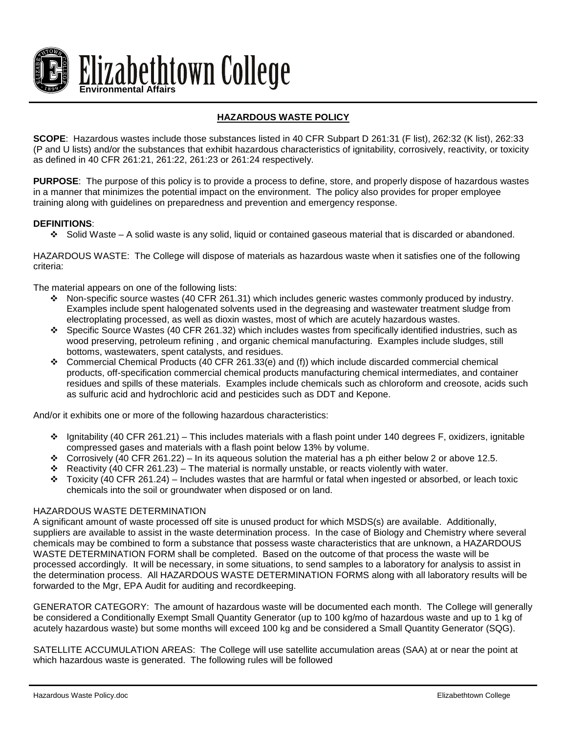

## **HAZARDOUS WASTE POLICY**

**SCOPE**: Hazardous wastes include those substances listed in 40 CFR Subpart D 261:31 (F list), 262:32 (K list), 262:33 (P and U lists) and/or the substances that exhibit hazardous characteristics of ignitability, corrosively, reactivity, or toxicity as defined in 40 CFR 261:21, 261:22, 261:23 or 261:24 respectively.

**PURPOSE**: The purpose of this policy is to provide a process to define, store, and properly dispose of hazardous wastes in a manner that minimizes the potential impact on the environment. The policy also provides for proper employee training along with guidelines on preparedness and prevention and emergency response.

## **DEFINITIONS**:

 $\div$  Solid Waste – A solid waste is any solid, liquid or contained gaseous material that is discarded or abandoned.

HAZARDOUS WASTE: The College will dispose of materials as hazardous waste when it satisfies one of the following criteria:

The material appears on one of the following lists:

- $\cdot \cdot$  Non-specific source wastes (40 CFR 261.31) which includes generic wastes commonly produced by industry. Examples include spent halogenated solvents used in the degreasing and wastewater treatment sludge from electroplating processed, as well as dioxin wastes, most of which are acutely hazardous wastes.
- Specific Source Wastes (40 CFR 261.32) which includes wastes from specifically identified industries, such as wood preserving, petroleum refining , and organic chemical manufacturing. Examples include sludges, still bottoms, wastewaters, spent catalysts, and residues.
- Commercial Chemical Products (40 CFR 261.33(e) and (f)) which include discarded commercial chemical products, off-specification commercial chemical products manufacturing chemical intermediates, and container residues and spills of these materials. Examples include chemicals such as chloroform and creosote, acids such as sulfuric acid and hydrochloric acid and pesticides such as DDT and Kepone.

And/or it exhibits one or more of the following hazardous characteristics:

- $\div$  Ignitability (40 CFR 261.21) This includes materials with a flash point under 140 degrees F, oxidizers, ignitable compressed gases and materials with a flash point below 13% by volume.
- Corrosively (40 CFR 261.22) In its aqueous solution the material has a ph either below 2 or above 12.5.
- Reactivity (40 CFR 261.23) The material is normally unstable, or reacts violently with water.
- $\div$  Toxicity (40 CFR 261.24) Includes wastes that are harmful or fatal when ingested or absorbed, or leach toxic chemicals into the soil or groundwater when disposed or on land.

## HAZARDOUS WASTE DETERMINATION

A significant amount of waste processed off site is unused product for which MSDS(s) are available. Additionally, suppliers are available to assist in the waste determination process. In the case of Biology and Chemistry where several chemicals may be combined to form a substance that possess waste characteristics that are unknown, a HAZARDOUS WASTE DETERMINATION FORM shall be completed. Based on the outcome of that process the waste will be processed accordingly. It will be necessary, in some situations, to send samples to a laboratory for analysis to assist in the determination process. All HAZARDOUS WASTE DETERMINATION FORMS along with all laboratory results will be forwarded to the Mgr, EPA Audit for auditing and recordkeeping.

GENERATOR CATEGORY: The amount of hazardous waste will be documented each month. The College will generally be considered a Conditionally Exempt Small Quantity Generator (up to 100 kg/mo of hazardous waste and up to 1 kg of acutely hazardous waste) but some months will exceed 100 kg and be considered a Small Quantity Generator (SQG).

SATELLITE ACCUMULATION AREAS: The College will use satellite accumulation areas (SAA) at or near the point at which hazardous waste is generated. The following rules will be followed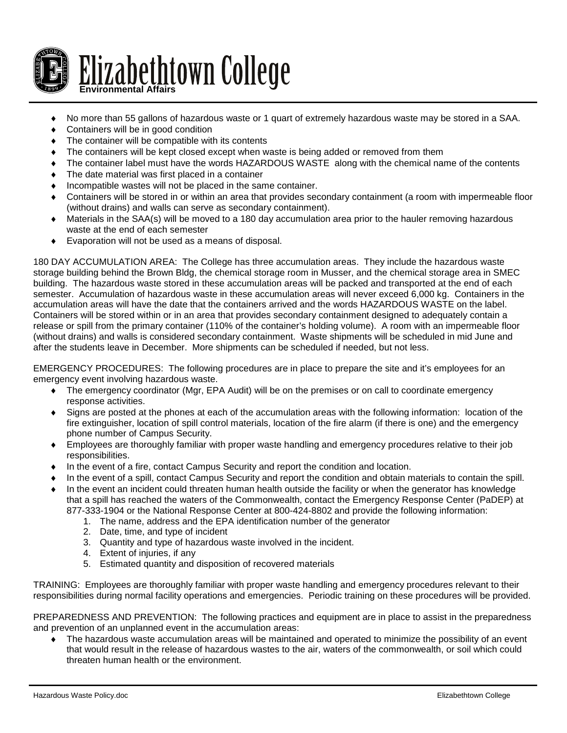

- No more than 55 gallons of hazardous waste or 1 quart of extremely hazardous waste may be stored in a SAA.
- Containers will be in good condition
- The container will be compatible with its contents
- The containers will be kept closed except when waste is being added or removed from them
- The container label must have the words HAZARDOUS WASTE along with the chemical name of the contents
- ♦ The date material was first placed in a container
- Incompatible wastes will not be placed in the same container.
- Containers will be stored in or within an area that provides secondary containment (a room with impermeable floor (without drains) and walls can serve as secondary containment).
- ♦ Materials in the SAA(s) will be moved to a 180 day accumulation area prior to the hauler removing hazardous waste at the end of each semester
- Evaporation will not be used as a means of disposal.

180 DAY ACCUMULATION AREA: The College has three accumulation areas. They include the hazardous waste storage building behind the Brown Bldg, the chemical storage room in Musser, and the chemical storage area in SMEC building. The hazardous waste stored in these accumulation areas will be packed and transported at the end of each semester. Accumulation of hazardous waste in these accumulation areas will never exceed 6,000 kg. Containers in the accumulation areas will have the date that the containers arrived and the words HAZARDOUS WASTE on the label. Containers will be stored within or in an area that provides secondary containment designed to adequately contain a release or spill from the primary container (110% of the container's holding volume). A room with an impermeable floor (without drains) and walls is considered secondary containment. Waste shipments will be scheduled in mid June and after the students leave in December. More shipments can be scheduled if needed, but not less.

EMERGENCY PROCEDURES: The following procedures are in place to prepare the site and it's employees for an emergency event involving hazardous waste.

- ♦ The emergency coordinator (Mgr, EPA Audit) will be on the premises or on call to coordinate emergency response activities.
- Signs are posted at the phones at each of the accumulation areas with the following information: location of the fire extinguisher, location of spill control materials, location of the fire alarm (if there is one) and the emergency phone number of Campus Security.
- ♦ Employees are thoroughly familiar with proper waste handling and emergency procedures relative to their job responsibilities.
- ♦ In the event of a fire, contact Campus Security and report the condition and location.
- In the event of a spill, contact Campus Security and report the condition and obtain materials to contain the spill.
- In the event an incident could threaten human health outside the facility or when the generator has knowledge that a spill has reached the waters of the Commonwealth, contact the Emergency Response Center (PaDEP) at 877-333-1904 or the National Response Center at 800-424-8802 and provide the following information:
	- 1. The name, address and the EPA identification number of the generator
	- 2. Date, time, and type of incident
	- 3. Quantity and type of hazardous waste involved in the incident.
	- 4. Extent of injuries, if any
	- 5. Estimated quantity and disposition of recovered materials

TRAINING: Employees are thoroughly familiar with proper waste handling and emergency procedures relevant to their responsibilities during normal facility operations and emergencies. Periodic training on these procedures will be provided.

PREPAREDNESS AND PREVENTION: The following practices and equipment are in place to assist in the preparedness and prevention of an unplanned event in the accumulation areas:

♦ The hazardous waste accumulation areas will be maintained and operated to minimize the possibility of an event that would result in the release of hazardous wastes to the air, waters of the commonwealth, or soil which could threaten human health or the environment.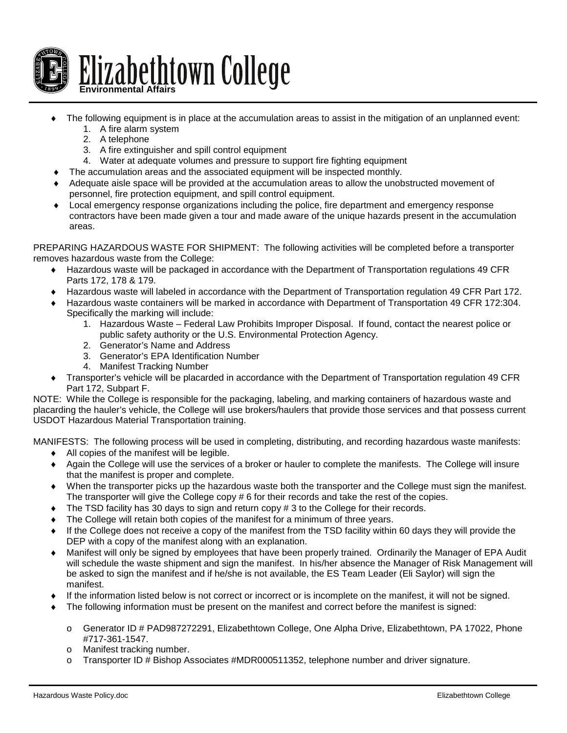

- The following equipment is in place at the accumulation areas to assist in the mitigation of an unplanned event:
	- 1. A fire alarm system
	- 2. A telephone
	- 3. A fire extinguisher and spill control equipment
	- 4. Water at adequate volumes and pressure to support fire fighting equipment
- The accumulation areas and the associated equipment will be inspected monthly.
- Adequate aisle space will be provided at the accumulation areas to allow the unobstructed movement of personnel, fire protection equipment, and spill control equipment.
- ♦ Local emergency response organizations including the police, fire department and emergency response contractors have been made given a tour and made aware of the unique hazards present in the accumulation areas.

PREPARING HAZARDOUS WASTE FOR SHIPMENT: The following activities will be completed before a transporter removes hazardous waste from the College:

- ♦ Hazardous waste will be packaged in accordance with the Department of Transportation regulations 49 CFR Parts 172, 178 & 179.
- ♦ Hazardous waste will labeled in accordance with the Department of Transportation regulation 49 CFR Part 172.
- ♦ Hazardous waste containers will be marked in accordance with Department of Transportation 49 CFR 172:304. Specifically the marking will include:
	- 1. Hazardous Waste Federal Law Prohibits Improper Disposal. If found, contact the nearest police or public safety authority or the U.S. Environmental Protection Agency.
	- 2. Generator's Name and Address
	- 3. Generator's EPA Identification Number
	- 4. Manifest Tracking Number
- ♦ Transporter's vehicle will be placarded in accordance with the Department of Transportation regulation 49 CFR Part 172, Subpart F.

NOTE: While the College is responsible for the packaging, labeling, and marking containers of hazardous waste and placarding the hauler's vehicle, the College will use brokers/haulers that provide those services and that possess current USDOT Hazardous Material Transportation training.

MANIFESTS: The following process will be used in completing, distributing, and recording hazardous waste manifests:

- ♦ All copies of the manifest will be legible.
- ♦ Again the College will use the services of a broker or hauler to complete the manifests. The College will insure that the manifest is proper and complete.
- ♦ When the transporter picks up the hazardous waste both the transporter and the College must sign the manifest. The transporter will give the College copy # 6 for their records and take the rest of the copies.
- The TSD facility has 30 days to sign and return copy  $# 3$  to the College for their records.
- The College will retain both copies of the manifest for a minimum of three years.
- If the College does not receive a copy of the manifest from the TSD facility within 60 days they will provide the DEP with a copy of the manifest along with an explanation.
- ♦ Manifest will only be signed by employees that have been properly trained. Ordinarily the Manager of EPA Audit will schedule the waste shipment and sign the manifest. In his/her absence the Manager of Risk Management will be asked to sign the manifest and if he/she is not available, the ES Team Leader (Eli Saylor) will sign the manifest.
- If the information listed below is not correct or incorrect or is incomplete on the manifest, it will not be signed.
- The following information must be present on the manifest and correct before the manifest is signed:
	- o Generator ID # PAD987272291, Elizabethtown College, One Alpha Drive, Elizabethtown, PA 17022, Phone #717-361-1547.
	- o Manifest tracking number.
	- o Transporter ID # Bishop Associates #MDR000511352, telephone number and driver signature.